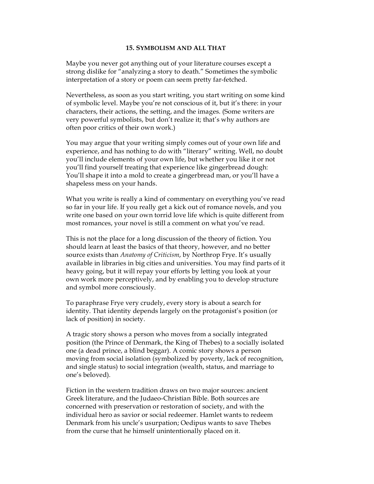### **15. SYMBOLISM AND ALL THAT**

Maybe you never got anything out of your literature courses except a strong dislike for "analyzing a story to death." Sometimes the symbolic interpretation of a story or poem can seem pretty far-fetched.

Nevertheless, as soon as you start writing, you start writing on some kind of symbolic level. Maybe you're not conscious of it, but it's there: in your characters, their actions, the setting, and the images. (Some writers are very powerful symbolists, but don't realize it; that's why authors are often poor critics of their own work.)

You may argue that your writing simply comes out of your own life and experience, and has nothing to do with "literary" writing. Well, no doubt you'll include elements of your own life, but whether you like it or not you'll find yourself treating that experience like gingerbread dough: You'll shape it into a mold to create a gingerbread man, or you'll have a shapeless mess on your hands.

What you write is really a kind of commentary on everything you've read so far in your life. If you really get a kick out of romance novels, and you write one based on your own torrid love life which is quite different from most romances, your novel is still a comment on what you've read.

This is not the place for a long discussion of the theory of fiction. You should learn at least the basics of that theory, however, and no better source exists than *Anatomy of Criticism*, by Northrop Frye. It's usually available in libraries in big cities and universities. You may find parts of it heavy going, but it will repay your efforts by letting you look at your own work more perceptively, and by enabling you to develop structure and symbol more consciously.

To paraphrase Frye very crudely, every story is about a search for identity. That identity depends largely on the protagonist's position (or lack of position) in society.

A tragic story shows a person who moves from a socially integrated position (the Prince of Denmark, the King of Thebes) to a socially isolated one (a dead prince, a blind beggar). A comic story shows a person moving from social isolation (symbolized by poverty, lack of recognition, and single status) to social integration (wealth, status, and marriage to one's beloved).

Fiction in the western tradition draws on two major sources: ancient Greek literature, and the Judaeo-Christian Bible. Both sources are concerned with preservation or restoration of society, and with the individual hero as savior or social redeemer. Hamlet wants to redeem Denmark from his uncle's usurpation; Oedipus wants to save Thebes from the curse that he himself unintentionally placed on it.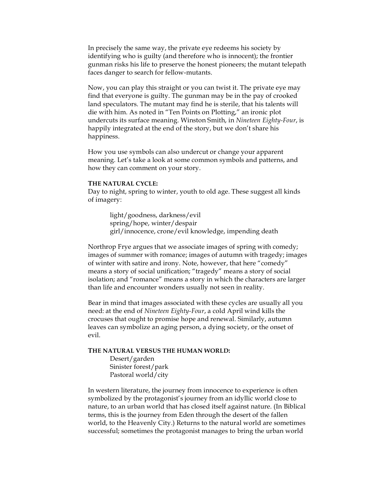In precisely the same way, the private eye redeems his society by identifying who is guilty (and therefore who is innocent); the frontier gunman risks his life to preserve the honest pioneers; the mutant telepath faces danger to search for fellow-mutants.

Now, you can play this straight or you can twist it. The private eye may find that everyone is guilty. The gunman may be in the pay of crooked land speculators. The mutant may find he is sterile, that his talents will die with him. As noted in "Ten Points on Plotting," an ironic plot undercuts its surface meaning. Winston Smith, in *Nineteen Eighty-Four*, is happily integrated at the end of the story, but we don't share his happiness.

How you use symbols can also undercut or change your apparent meaning. Let's take a look at some common symbols and patterns, and how they can comment on your story.

#### **THE NATURAL CYCLE:**

Day to night, spring to winter, youth to old age. These suggest all kinds of imagery:

> light/goodness, darkness/evil spring/hope, winter/despair girl/innocence, crone/evil knowledge, impending death

Northrop Frye argues that we associate images of spring with comedy; images of summer with romance; images of autumn with tragedy; images of winter with satire and irony. Note, however, that here "comedy" means a story of social unification; "tragedy" means a story of social isolation; and "romance" means a story in which the characters are larger than life and encounter wonders usually not seen in reality.

Bear in mind that images associated with these cycles are usually all you need: at the end of *Nineteen Eighty-Four*, a cold April wind kills the crocuses that ought to promise hope and renewal. Similarly, autumn leaves can symbolize an aging person, a dying society, or the onset of evil.

#### **THE NATURAL VERSUS THE HUMAN WORLD:**

Desert/garden Sinister forest/park Pastoral world/city

In western literature, the journey from innocence to experience is often symbolized by the protagonist's journey from an idyllic world close to nature, to an urban world that has closed itself against nature. (In Biblical terms, this is the journey from Eden through the desert of the fallen world, to the Heavenly City.) Returns to the natural world are sometimes successful; sometimes the protagonist manages to bring the urban world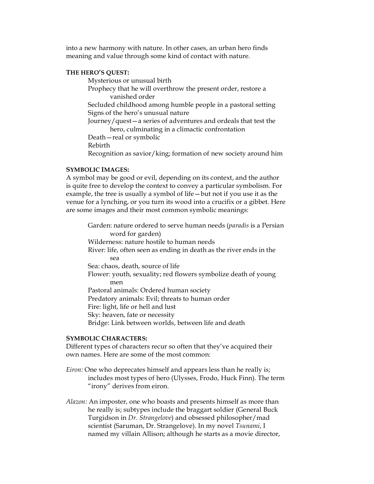into a new harmony with nature. In other cases, an urban hero finds meaning and value through some kind of contact with nature.

# **THE HERO'S QUEST:**

Mysterious or unusual birth

Prophecy that he will overthrow the present order, restore a vanished order

Secluded childhood among humble people in a pastoral setting Signs of the hero's unusual nature

Journey/quest—a series of adventures and ordeals that test the hero, culminating in a climactic confrontation

Death—real or symbolic

Rebirth

Recognition as savior/king; formation of new society around him

# **SYMBOLIC IMAGES:**

A symbol may be good or evil, depending on its context, and the author is quite free to develop the context to convey a particular symbolism. For example, the tree is usually a symbol of life—but not if you use it as the venue for a lynching, or you turn its wood into a crucifix or a gibbet. Here are some images and their most common symbolic meanings:

Garden: nature ordered to serve human needs (*paradis* is a Persian word for garden) Wilderness: nature hostile to human needs River: life, often seen as ending in death as the river ends in the sea Sea: chaos, death, source of life Flower: youth, sexuality; red flowers symbolize death of young men Pastoral animals: Ordered human society Predatory animals: Evil; threats to human order Fire: light, life or hell and lust Sky: heaven, fate or necessity Bridge: Link between worlds, between life and death

### **SYMBOLIC CHARACTERS:**

Different types of characters recur so often that they've acquired their own names. Here are some of the most common:

- *Eiron:* One who deprecates himself and appears less than he really is; includes most types of hero (Ulysses, Frodo, Huck Finn). The term "irony" derives from eiron.
- *Alazon:* An imposter, one who boasts and presents himself as more than he really is; subtypes include the braggart soldier (General Buck Turgidson in *Dr. Strangelove*) and obsessed philosopher/mad scientist (Saruman, Dr. Strangelove). In my novel *Tsunami*, I named my villain Allison; although he starts as a movie director,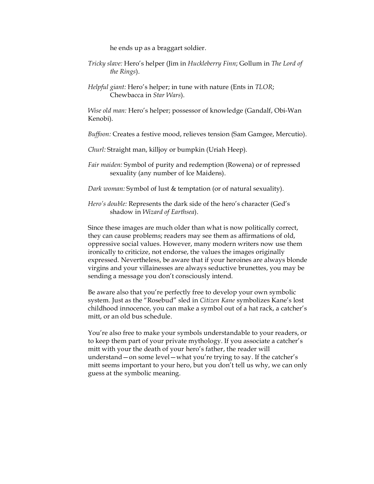he ends up as a braggart soldier.

- *Tricky slave:* Hero's helper (Jim in *Huckleberry Finn*; Gollum in *The Lord of the Rings*).
- *Helpful giant:* Hero's helper; in tune with nature (Ents in *TLOR*; Chewbacca in *Star Wars*).

*Wise old man:* Hero's helper; possessor of knowledge (Gandalf, Obi-Wan Kenobi).

*Buffoon:* Creates a festive mood, relieves tension (Sam Gamgee, Mercutio).

*Churl:* Straight man, killjoy or bumpkin (Uriah Heep).

- *Fair maiden:* Symbol of purity and redemption (Rowena) or of repressed sexuality (any number of Ice Maidens).
- *Dark woman:* Symbol of lust & temptation (or of natural sexuality).
- *Hero's double:* Represents the dark side of the hero's character (Ged's shadow in *Wizard of Earthsea*).

Since these images are much older than what is now politically correct, they can cause problems; readers may see them as affirmations of old, oppressive social values. However, many modern writers now use them ironically to criticize, not endorse, the values the images originally expressed. Nevertheless, be aware that if your heroines are always blonde virgins and your villainesses are always seductive brunettes, you may be sending a message you don't consciously intend.

Be aware also that you're perfectly free to develop your own symbolic system. Just as the "Rosebud" sled in *Citizen Kane* symbolizes Kane's lost childhood innocence, you can make a symbol out of a hat rack, a catcher's mitt, or an old bus schedule.

You're also free to make your symbols understandable to your readers, or to keep them part of your private mythology. If you associate a catcher's mitt with your the death of your hero's father, the reader will understand—on some level—what you're trying to say. If the catcher's mitt seems important to your hero, but you don't tell us why, we can only guess at the symbolic meaning.